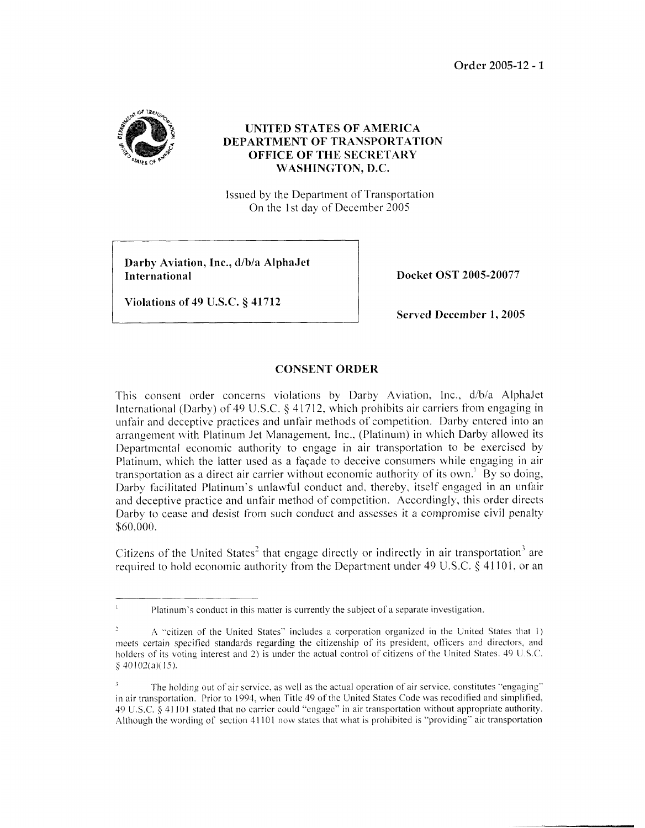**Order** 2005-12 - *<sup>3</sup>*



## **UNITED STATES OF AMERICA DEPARTMENT OF TRANSPORTATTON OFFTCE OF THE SECRETARY**   $WASHINGTON, D.C.$

Issued by the Department of Transportation On the 1 st day of December *2005* 

**Darhy Aviation, Inc., d/b/a AlphaJet International** 

**Docket OST 2005-20077** 

**Violations of 49 U.S.C. § 41712** 

**Served December 1,2005** 

## **CONSENT ORDER**

This consent order concerns violations by Darby Aviation, Inc., d/b/a AlphaJet International (Darby) of 49 U.S.C. § 41712, which prohibits air carriers from engaging in unfair and deceptive practices and unfair methods of competition. Darby entered into an arrangement with Platinum Jet Management. Inc., (Platinum) in which Darby allowed its Departmental economic authority to engage in air transportation to be exercised by Platinum, which the latter used as a facade to deceive consumers while engaging in air transportation as a direct air carrier without economic authority of its own.' By so doing, Darby facilitated Platinum's unlawful conduct and, thereby, itself engaged in an unfair and deceptive practice and unfair method of competition. Accordingly, this order directs Darby to cease and desist from such conduct and assesses it a compromise civil penalty \$60.000.

Citizens of the United States<sup>2</sup> that engage directly or indirectly in air transportation<sup>3</sup> are required to hold economic authority from the Department under 49 U.S.C. *3* 41 101. or an

 $\frac{1}{1}$  Platinum's conduct in this matter is currently the subject of a separate investigation.

**A** "citizen of the United States" includes a corporation organized in the United States that 1) meets certain specified standards regarding the citizenship of its president, officers and directors, and holders of its voting interest and 2) is under the actual control of citizens of the United States. 49 U.S.C.  $§$  40102(a)(15).

The holding out of air service, as well as the actual operation of air service, constitutes "engaging" in air transportation. Prior to 1904, when Title 49 of the United States Code was recodified and simplified, 49 U.S.C. 4 41 IO1 stated that no carrier could "engage" in air transportation without appropriate authority. Although the wording of section 4 I IO 1 now states that what is prohibited is "providing" air transportation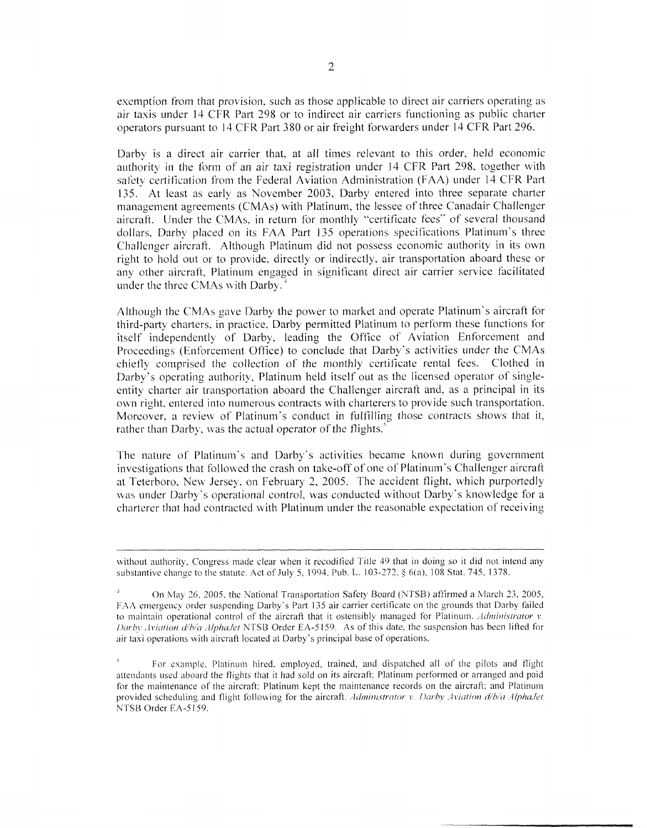esemption from that provision. such as those applicable to direct air carriers operating as air taxis under 14 CFR Part 298 or to indirect air carriers functioning as public charter operators pursuant to 14 CFR Part 380 or air freight forwarders under 14 CFR Part 296.

Darby is a direct air carrier that, at all times relevant to this order, held economic authority in the form of an air taxi registration under 14 CFR Part 298, together with safety certification from the Federal Aviation Administration (FAA) under 14 CFR Part 135. At least as early as November 2003, Darby entered into three separate charter management agreements (CMAs) with Platinum, the lessee of three Canadair Challenger aircraft. Under the CMAs, in return for monthly "certificate fees" of several thousand dollars. Darby placed on its FAA Part 135 operations specilications Platinum's three Challenger aircraft. Although Platinum did not possess economic authority in its own right to hold out or to provide, directly or indirectly, air transportation aboard these or any other aircraft, Platinum engaged in significant direct air carrier service facilitated under the three CMAs with Darby.<sup>4</sup>

Although the CMAs gave Darby the power to market and operate Platinum's aircraft for third-party cliarters. in practice. Darby permitted Platinum to perform these fiinctions for itself independently of Darby, leading the Office of Aviation Enforcement and Proceedings (Enforcement Office) to conclude that Darby's activities under the CMAs chiefly comprised the collection of the monthly certificate rental fees. Clothed in Darby's operating authority, Platinum held itself out as the licensed operator of singleentity charter air transportation aboard the Challenger aircraft and. as a principal in its own right, entered into numerous contracts with charterers to provide such transportation. Moreover, a review of Platinum's conduct in fulfilling those contracts shows that it, rather than Darby, was the actual operator of the flights. $\frac{5}{3}$ 

The nature of Platinum's and Darby's activities became known during government investigations that followed the crash on take-off of one of Platinum's Challenger aircraft at Teterboro, New Jersey, on February 2, 2005. The accident flight, which purportedly was under Darby's operational control, was conducted without Darby's knowledge for a charterer that had contracted with Platinum under the reasonable expectation of receiving

without authority, Congress made clear when it recodified Title 49 that in doing so it did not intend any substantive change to the statute. Act of July 5, 1994, Pub. L. 103-272, § 6(a), 108 Stat. 745, 1378.

<sup>&</sup>lt;sup>4</sup> 011 May 26, 2005, the National Transportation Safety Board (NTSB) affirmed a March 23, 2005, FAA emergency order suspending Darby's Part 135 air carrier certificate on the grounds that Darby failed to maintain operational control of the aircraft that it ostensibly managed for Platinum. Administrator v *Darby Aviation d/b/a AlphaJet* NTSB Order EA-5159. As of this date, the suspension has been lifted for air taxi operations with aircraft located at Darby's principal base of operations.

For example, Platinum hired, employed, trained, and dispatched all of the pilots and flight attendants used aboard the flights that it had sold on its aircraft: Platinum performed or arranged and paid for the maintenance of the aircraft; Platinum kept the maintenance records on the aircraft; and Platinum provided scheduling and flight following for the aircraft. *Administrator v. Darby Aviation d/b/a AlphaJet* NTSB Order EA-5159.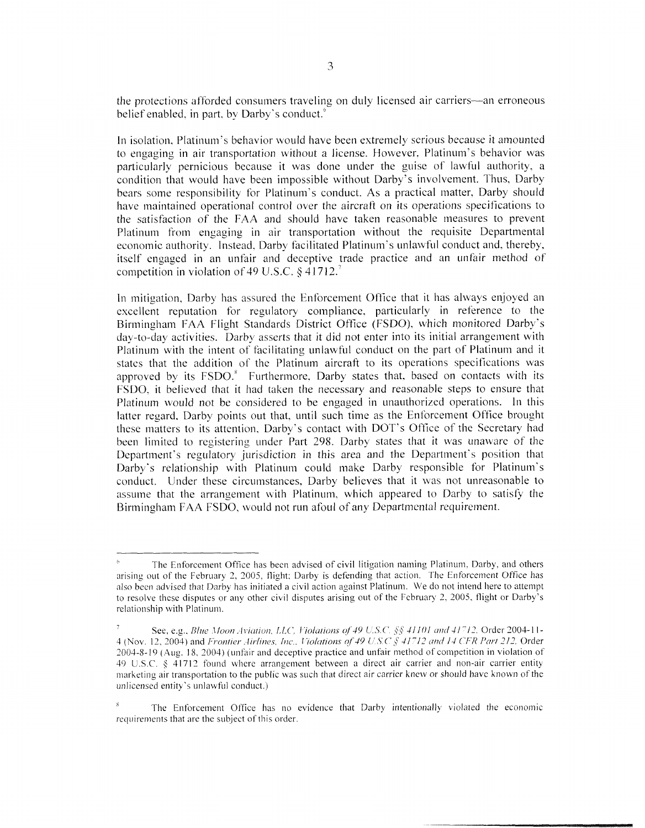the protections afforded consumers traveling on duly licensed air carriers-an erroneous belief enabled, in part, by Darby's conduct.<sup>6</sup>

In isolation, Platinum's behavior would have been extremely serious because it amounted to engaging in air transportation without a license. However. Platinum's behavior was particularly pernicious because it was done under the guise of lawful authority, a condition that would have been impossible without Darby's involvement. Thus. Darby bears some responsibility for Platinum's conduct. **As** a practical matter. Darby should have maintained operational control over the aircraft on its operations specifications to the satisfaction of the FAA and should have taken reasonable measures to prevent Platinum from engaging in air transportation without the requisite Departmental economic authority. Instead, Darby facilitated Platinum's unlawful conduct and, thereby, itself engaged in an unfair and deceptive trade practice and an unfair method of competition in violation of49 U.S.C. **9** 4l712.?

In mitigation, Darby has assured the Enforcement Office that it has always enjoyed an excellent reputation for regulatory compliance, particularly in reference to the Birmingham FAA Flight Standards District Office (FSDO), which monitored Darby's day-to-day activities. Darby asserts that it did not enter into its initial arrangement with Platinum with the intent of facilitating unlawful conduct on the part of Platinum and it states that the addition of the Platinum aircraft to its operations specifications was approved by its FSDO.<sup>8</sup> Furthermore, Darby states that, based on contacts with its FSDO, it believed that it had taken the necessary and reasonable steps to ensure that Platinum would not be considered to be engaged in unauthorized operations. In this latter regard, Darby points out that, until such time as the Enforcement Office brought these matters to its attention. Darby's contact with DOT's Office of the Secretary had been limited to registering under Part 298. Darby states that it was unaware of the Department's regulatory jurisdiction in this area and the Department's position that Darby's relationship with Platinum could make Darby responsible for Platinum's conduct. Under these circumstances, Darby believes that it was not unreasonable to assume that the arrangement with Platinum, which appeared to Darby to satisfy the Birmingham FAA FSDO, would not run afoul of any Departmental requirement.

The Enforcement Office has been advised of civil litigation naming Platinum. Darby, and others arising out of the February 2, 2005, flight; Darby is defending that action. The Enforcement Office has also been advised that Darby has initiated a civil action against Platinum. We do not intend here to attempt to resolve these disputes or any other civil disputes arising out of the February 2. *2005,* flight or Darby's relationship with Platinum.

See, e.g., *Blue Moon Aviation, LLC, Violations of 49 U.S.C.*  $\S$  41101 and 41712, Order 2004-11-4 (Nov. 12, 2004) and *Frontier Airlines, Inc., Violations of 49 U.S.C.*  $\S$  41712 and 14 CFR Part 212, Order *2003-8-* I9 (Atlg. 18. 2004) ( tinfair and deceptive practice and unfair method of competition in violation of 49 U.S.C. § 41712 found where arrangement between a direct air carrier and non-air carrier entity marketing air transportation to the public was such that direct air carrier knew or should have known of the unlicensed entity's unlawful conduct.)

The Enforcement Office has no evidence that Darby intentionally violated the economic requirements that are the subject of this order.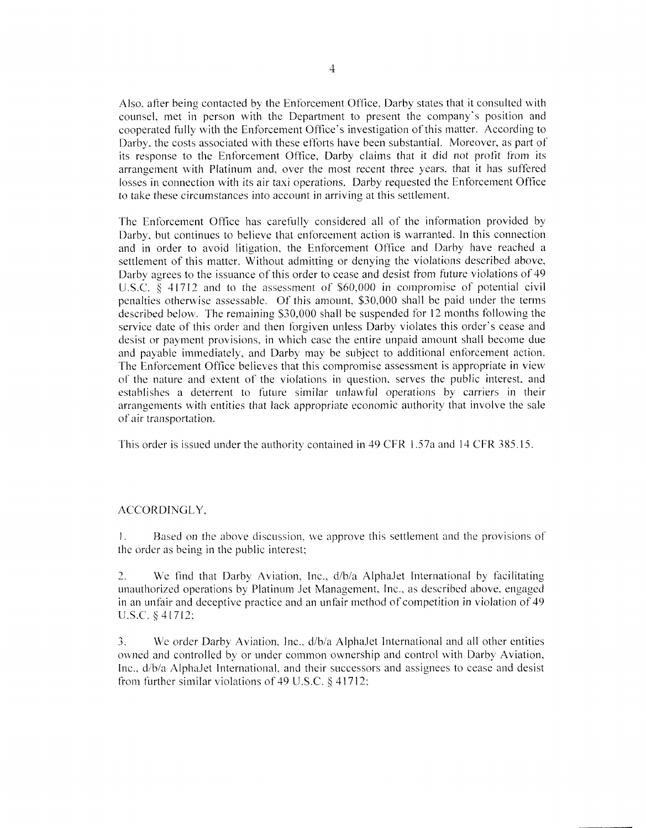Also, after being contacted by the Enforcement Office, Darby states that it consulted with counsel, met in person with the Department to present the company's position and cooperated fully with the Enforcement Office's investigation of this matter. According to Darby, the costs associated with these efforts have been substantial. Moreover, as part of its response to the Enforcement Office, Darby claims that it did not profit from its arrangement with Platinum and, over the most recent three years. that it has suffered losses in connection with its air taxi operations. Darby requested the Enforcement Oftice to take these circumstances into account in arriving at this settlement.

The Enforcement Office has carefully considered all of the information provided by Darby, but continues to believe that enforcement action is warranted. In this connection and in order to avoid litigation, the Enforcement Office and Darby have reached a settlement of this matter. Without admitting or denying the violations described above, Darby agrees to the issuance of this order to cease and desist from future violations of 49 U.S.C.  $\S$  41712 and to the assessment of  $$60,000$  in compromise of potential civil penalties otherwise assessable. Of this amount, \$30,000 shall be paid under the terms described below. The remaining \$30,000 shall be suspended for 12 months following the service date of this order and then forgiven unless Darby violates this order's cease and desist or payment provisions, in which case the entire unpaid amount shall become due and payable immediately, and Darby may be subject to additional enforcement action. The Enforcement Office believes that this compromise assessment is appropriate in view of the nature and extent of the violations in question, serves the public interest, and establishes a deterrent to future similar unlawful operations by carriers in their arrangements with entities that lack appropriate economic authority that involve the sale of air transportation.

This order is issued under the authority contained in 49 CFR 1.57a and 14 CFR 385.15.

## ACCORDINGLY,

I. the order as being in the public interest; Hased on the above discussion, we approve this settlement and the provisions of

2. We find that Darby Aviation, Inc., d/b/a AlphaJet International by facilitating unauthorized operations by Platinum Jet Management, Inc., as described above, engaged in an unfair and deceptive practice and an unfair method of competition in violation of 49 U.S.C. § 41712;

3. We order Darby Aviation, lnc., d/b/a AlphaJet International and all other entities owned and controlled by or under common ownership and control with Darby Aviation, Inc..  $d/b/a$  AlphaJet International, and their successors and assignees to cease and desist from further similar violations of 49 U.S.C.  $\S$  41712;